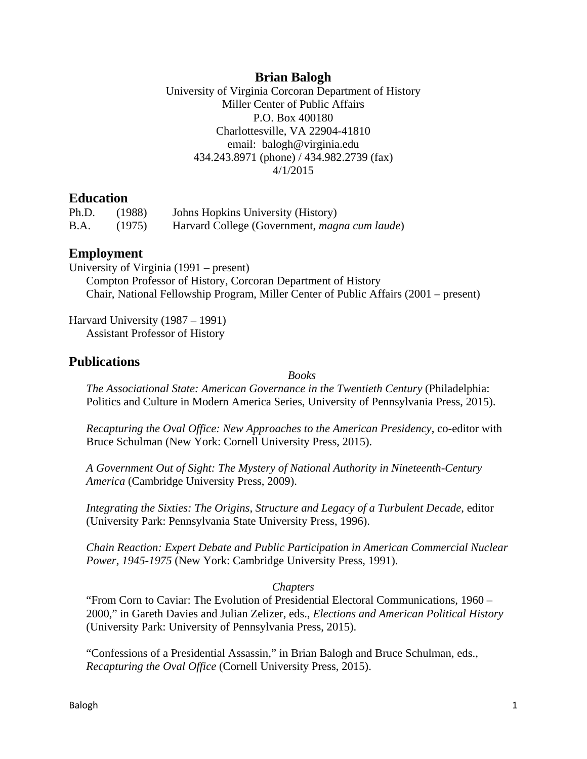# **Brian Balogh**

University of Virginia Corcoran Department of History Miller Center of Public Affairs P.O. Box 400180 Charlottesville, VA 22904-41810 email: balogh@virginia.edu 434.243.8971 (phone) / 434.982.2739 (fax) 4/1/2015

## **Education**

| Ph.D. | (1988) | Johns Hopkins University (History)                    |
|-------|--------|-------------------------------------------------------|
| B.A.  | (1975) | Harvard College (Government, <i>magna cum laude</i> ) |

## **Employment**

University of Virginia (1991 – present) Compton Professor of History, Corcoran Department of History Chair, National Fellowship Program, Miller Center of Public Affairs (2001 – present)

Harvard University (1987 – 1991) Assistant Professor of History

# **Publications**

*Books* 

*The Associational State: American Governance in the Twentieth Century* (Philadelphia: Politics and Culture in Modern America Series, University of Pennsylvania Press, 2015).

*Recapturing the Oval Office: New Approaches to the American Presidency*, co-editor with Bruce Schulman (New York: Cornell University Press, 2015).

*A Government Out of Sight: The Mystery of National Authority in Nineteenth-Century America* (Cambridge University Press, 2009).

*Integrating the Sixties: The Origins, Structure and Legacy of a Turbulent Decade*, editor (University Park: Pennsylvania State University Press, 1996).

*Chain Reaction: Expert Debate and Public Participation in American Commercial Nuclear Power, 1945-1975* (New York: Cambridge University Press, 1991).

### *Chapters*

"From Corn to Caviar: The Evolution of Presidential Electoral Communications, 1960 – 2000," in Gareth Davies and Julian Zelizer, eds., *Elections and American Political History*  (University Park: University of Pennsylvania Press, 2015).

"Confessions of a Presidential Assassin," in Brian Balogh and Bruce Schulman, eds., *Recapturing the Oval Office* (Cornell University Press, 2015).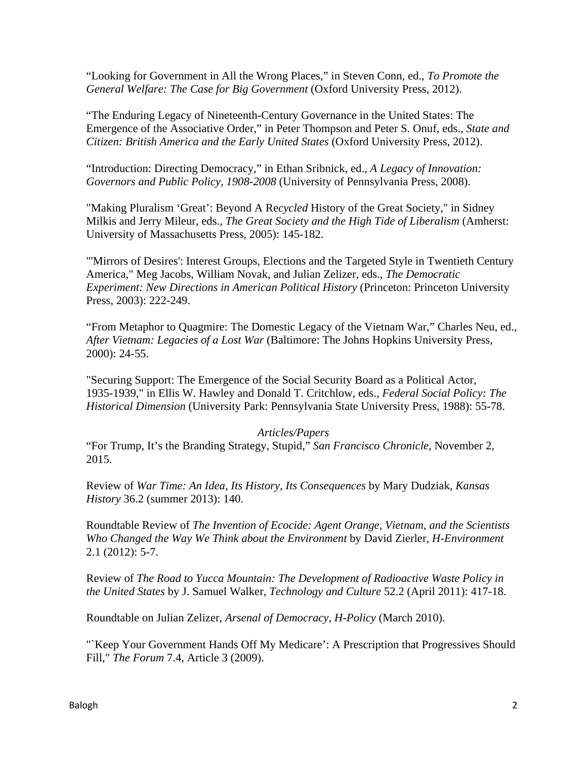"Looking for Government in All the Wrong Places," in Steven Conn, ed., *To Promote the General Welfare: The Case for Big Government* (Oxford University Press, 2012).

"The Enduring Legacy of Nineteenth-Century Governance in the United States: The Emergence of the Associative Order," in Peter Thompson and Peter S. Onuf, eds., *State and Citizen: British America and the Early United States* (Oxford University Press, 2012).

"Introduction: Directing Democracy," in Ethan Sribnick, ed., *A Legacy of Innovation: Governors and Public Policy, 1908-2008* (University of Pennsylvania Press, 2008).

"Making Pluralism 'Great': Beyond A Re*cycled* History of the Great Society," in Sidney Milkis and Jerry Mileur, eds., *The Great Society and the High Tide of Liberalism* (Amherst: University of Massachusetts Press, 2005): 145-182.

"'Mirrors of Desires': Interest Groups, Elections and the Targeted Style in Twentieth Century America," Meg Jacobs, William Novak, and Julian Zelizer, eds., *The Democratic Experiment: New Directions in American Political History* (Princeton: Princeton University Press, 2003): 222-249.

"From Metaphor to Quagmire: The Domestic Legacy of the Vietnam War," Charles Neu, ed., *After Vietnam: Legacies of a Lost War* (Baltimore: The Johns Hopkins University Press, 2000): 24-55.

"Securing Support: The Emergence of the Social Security Board as a Political Actor, 1935-1939," in Ellis W. Hawley and Donald T. Critchlow, eds., *Federal Social Policy: The Historical Dimension* (University Park: Pennsylvania State University Press, 1988): 55-78.

### *Articles/Papers*

"For Trump, It's the Branding Strategy, Stupid," *San Francisco Chronicle,* November 2, 2015.

Review of *War Time: An Idea, Its History, Its Consequences* by Mary Dudziak, *Kansas History* 36.2 (summer 2013): 140.

Roundtable Review of *The Invention of Ecocide: Agent Orange, Vietnam, and the Scientists Who Changed the Way We Think about the Environment* by David Zierler*, H-Environment*  2.1 (2012): 5-7.

Review of *The Road to Yucca Mountain: The Development of Radioactive Waste Policy in the United States* by J. Samuel Walker, *Technology and Culture* 52.2 (April 2011): 417-18.

Roundtable on Julian Zelizer, *Arsenal of Democracy*, *H-Policy* (March 2010).

"Neep Your Government Hands Off My Medicare': A Prescription that Progressives Should Fill," *The Forum* 7.4, Article 3 (2009).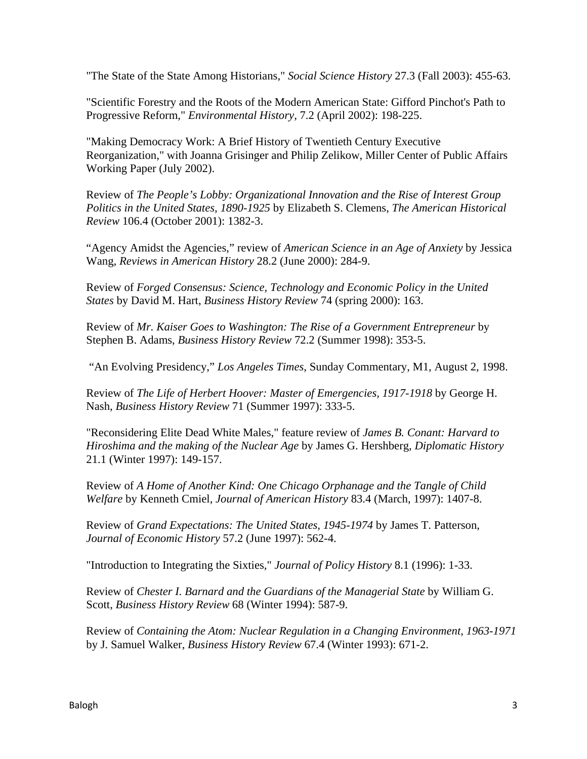"The State of the State Among Historians," *Social Science History* 27.3 (Fall 2003): 455-63.

"Scientific Forestry and the Roots of the Modern American State: Gifford Pinchot's Path to Progressive Reform," *Environmental History,* 7.2 (April 2002): 198-225.

"Making Democracy Work: A Brief History of Twentieth Century Executive Reorganization," with Joanna Grisinger and Philip Zelikow, Miller Center of Public Affairs Working Paper (July 2002).

Review of *The People's Lobby: Organizational Innovation and the Rise of Interest Group Politics in the United States, 1890-1925* by Elizabeth S. Clemens, *The American Historical Review* 106.4 (October 2001): 1382-3.

"Agency Amidst the Agencies," review of *American Science in an Age of Anxiety* by Jessica Wang, *Reviews in American History* 28.2 (June 2000): 284-9.

Review of *Forged Consensus: Science, Technology and Economic Policy in the United States* by David M. Hart, *Business History Review* 74 (spring 2000): 163.

Review of *Mr. Kaiser Goes to Washington: The Rise of a Government Entrepreneur* by Stephen B. Adams, *Business History Review* 72.2 (Summer 1998): 353-5.

"An Evolving Presidency," *Los Angeles Times*, Sunday Commentary, M1, August 2, 1998.

Review of *The Life of Herbert Hoover: Master of Emergencies, 1917-1918* by George H. Nash, *Business History Review* 71 (Summer 1997): 333-5.

"Reconsidering Elite Dead White Males," feature review of *James B. Conant: Harvard to Hiroshima and the making of the Nuclear Age* by James G. Hershberg*, Diplomatic History* 21.1 (Winter 1997): 149-157.

Review of *A Home of Another Kind: One Chicago Orphanage and the Tangle of Child Welfare* by Kenneth Cmiel, *Journal of American History* 83.4 (March, 1997): 1407-8.

Review of *Grand Expectations: The United States, 1945-1974* by James T. Patterson, *Journal of Economic History* 57.2 (June 1997): 562-4.

"Introduction to Integrating the Sixties," *Journal of Policy History* 8.1 (1996): 1-33.

Review of *Chester I. Barnard and the Guardians of the Managerial State* by William G. Scott, *Business History Review* 68 (Winter 1994): 587-9.

Review of *Containing the Atom: Nuclear Regulation in a Changing Environment, 1963-1971* by J. Samuel Walker, *Business History Review* 67.4 (Winter 1993): 671-2.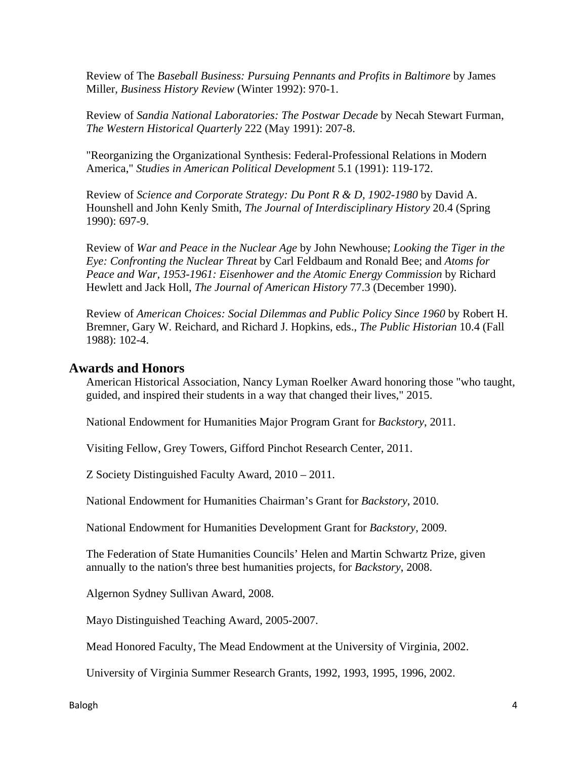Review of The *Baseball Business: Pursuing Pennants and Profits in Baltimore* by James Miller, *Business History Review* (Winter 1992): 970-1.

Review of *Sandia National Laboratories: The Postwar Decade* by Necah Stewart Furman, *The Western Historical Quarterly* 222 (May 1991): 207-8.

"Reorganizing the Organizational Synthesis: Federal-Professional Relations in Modern America," *Studies in American Political Development* 5.1 (1991): 119-172.

Review of *Science and Corporate Strategy: Du Pont R & D, 1902-1980* by David A. Hounshell and John Kenly Smith, *The Journal of Interdisciplinary History* 20.4 (Spring 1990): 697-9.

Review of *War and Peace in the Nuclear Age* by John Newhouse; *Looking the Tiger in the Eye: Confronting the Nuclear Threat* by Carl Feldbaum and Ronald Bee; and *Atoms for Peace and War, 1953-1961: Eisenhower and the Atomic Energy Commission* by Richard Hewlett and Jack Holl, *The Journal of American History* 77.3 (December 1990).

Review of *American Choices: Social Dilemmas and Public Policy Since 1960* by Robert H. Bremner, Gary W. Reichard, and Richard J. Hopkins, eds., *The Public Historian* 10.4 (Fall 1988): 102-4.

# **Awards and Honors**

American Historical Association, Nancy Lyman Roelker Award honoring those "who taught, guided, and inspired their students in a way that changed their lives," 2015.

National Endowment for Humanities Major Program Grant for *Backstory*, 2011.

Visiting Fellow, Grey Towers, Gifford Pinchot Research Center, 2011.

Z Society Distinguished Faculty Award, 2010 – 2011.

National Endowment for Humanities Chairman's Grant for *Backstory*, 2010.

National Endowment for Humanities Development Grant for *Backstory*, 2009.

The Federation of State Humanities Councils' Helen and Martin Schwartz Prize, given annually to the nation's three best humanities projects, for *Backstory*, 2008.

Algernon Sydney Sullivan Award, 2008.

Mayo Distinguished Teaching Award, 2005-2007.

Mead Honored Faculty, The Mead Endowment at the University of Virginia, 2002.

University of Virginia Summer Research Grants, 1992, 1993, 1995, 1996, 2002.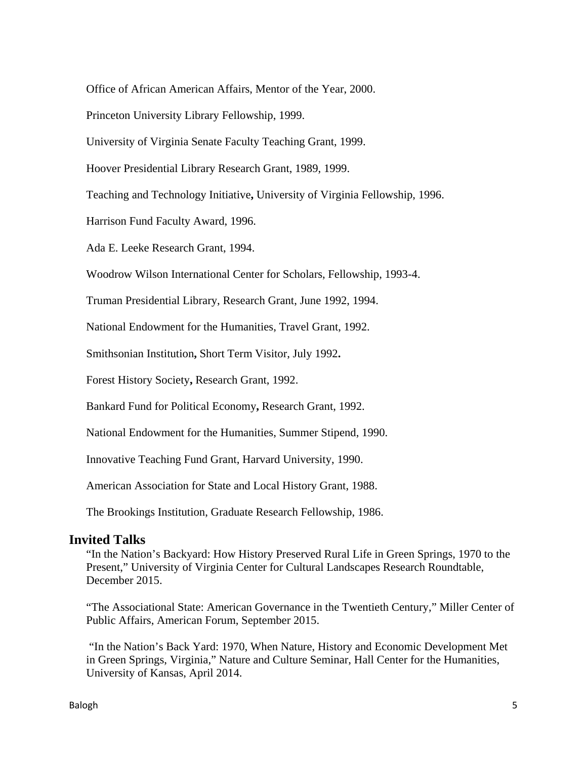Office of African American Affairs, Mentor of the Year, 2000.

Princeton University Library Fellowship, 1999.

University of Virginia Senate Faculty Teaching Grant, 1999.

Hoover Presidential Library Research Grant, 1989, 1999.

Teaching and Technology Initiative**,** University of Virginia Fellowship, 1996.

Harrison Fund Faculty Award, 1996.

Ada E. Leeke Research Grant, 1994.

Woodrow Wilson International Center for Scholars, Fellowship, 1993-4.

Truman Presidential Library, Research Grant, June 1992, 1994.

National Endowment for the Humanities, Travel Grant, 1992.

Smithsonian Institution**,** Short Term Visitor, July 1992**.** 

Forest History Society**,** Research Grant, 1992.

Bankard Fund for Political Economy**,** Research Grant, 1992.

National Endowment for the Humanities, Summer Stipend, 1990.

Innovative Teaching Fund Grant, Harvard University, 1990.

American Association for State and Local History Grant, 1988.

The Brookings Institution, Graduate Research Fellowship, 1986.

### **Invited Talks**

"In the Nation's Backyard: How History Preserved Rural Life in Green Springs, 1970 to the Present," University of Virginia Center for Cultural Landscapes Research Roundtable, December 2015.

"The Associational State: American Governance in the Twentieth Century," Miller Center of Public Affairs, American Forum, September 2015.

 "In the Nation's Back Yard: 1970, When Nature, History and Economic Development Met in Green Springs, Virginia," Nature and Culture Seminar, Hall Center for the Humanities, University of Kansas, April 2014.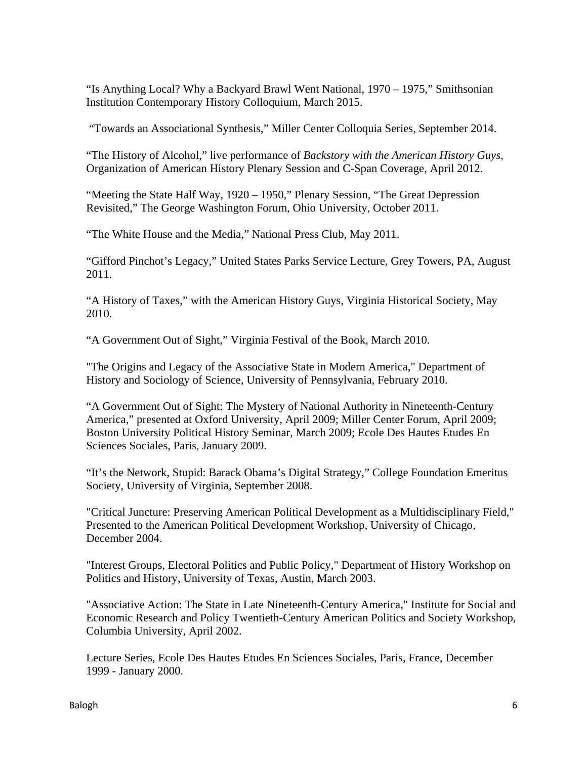"Is Anything Local? Why a Backyard Brawl Went National, 1970 – 1975," Smithsonian Institution Contemporary History Colloquium, March 2015.

"Towards an Associational Synthesis," Miller Center Colloquia Series, September 2014.

"The History of Alcohol," live performance of *Backstory with the American History Guys,*  Organization of American History Plenary Session and C-Span Coverage, April 2012.

"Meeting the State Half Way, 1920 – 1950," Plenary Session, "The Great Depression Revisited," The George Washington Forum, Ohio University, October 2011.

"The White House and the Media," National Press Club, May 2011.

"Gifford Pinchot's Legacy," United States Parks Service Lecture, Grey Towers, PA, August 2011.

"A History of Taxes," with the American History Guys, Virginia Historical Society, May 2010.

"A Government Out of Sight," Virginia Festival of the Book, March 2010.

"The Origins and Legacy of the Associative State in Modern America," Department of History and Sociology of Science, University of Pennsylvania, February 2010.

"A Government Out of Sight: The Mystery of National Authority in Nineteenth-Century America*,*" presented at Oxford University, April 2009; Miller Center Forum, April 2009; Boston University Political History Seminar, March 2009; Ecole Des Hautes Etudes En Sciences Sociales, Paris, January 2009.

"It's the Network, Stupid: Barack Obama's Digital Strategy," College Foundation Emeritus Society, University of Virginia, September 2008.

"Critical Juncture: Preserving American Political Development as a Multidisciplinary Field," Presented to the American Political Development Workshop, University of Chicago, December 2004.

"Interest Groups, Electoral Politics and Public Policy," Department of History Workshop on Politics and History, University of Texas, Austin, March 2003.

"Associative Action: The State in Late Nineteenth-Century America," Institute for Social and Economic Research and Policy Twentieth-Century American Politics and Society Workshop, Columbia University, April 2002.

Lecture Series, Ecole Des Hautes Etudes En Sciences Sociales, Paris, France, December 1999 - January 2000.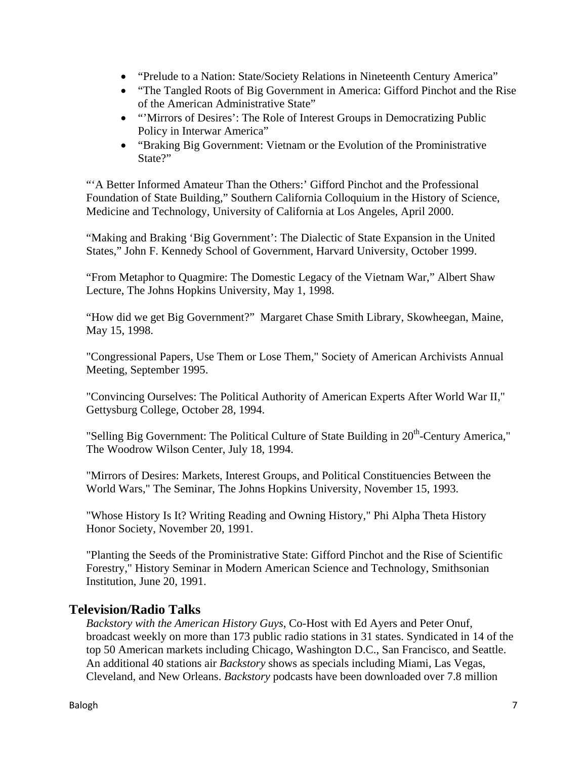- "Prelude to a Nation: State/Society Relations in Nineteenth Century America"
- "The Tangled Roots of Big Government in America: Gifford Pinchot and the Rise of the American Administrative State"
- "Mirrors of Desires': The Role of Interest Groups in Democratizing Public Policy in Interwar America"
- "Braking Big Government: Vietnam or the Evolution of the Proministrative State?"

"'A Better Informed Amateur Than the Others:' Gifford Pinchot and the Professional Foundation of State Building," Southern California Colloquium in the History of Science, Medicine and Technology, University of California at Los Angeles, April 2000.

"Making and Braking 'Big Government': The Dialectic of State Expansion in the United States," John F. Kennedy School of Government, Harvard University, October 1999.

"From Metaphor to Quagmire: The Domestic Legacy of the Vietnam War," Albert Shaw Lecture, The Johns Hopkins University, May 1, 1998.

"How did we get Big Government?" Margaret Chase Smith Library, Skowheegan, Maine, May 15, 1998.

"Congressional Papers, Use Them or Lose Them," Society of American Archivists Annual Meeting, September 1995.

"Convincing Ourselves: The Political Authority of American Experts After World War II," Gettysburg College, October 28, 1994.

"Selling Big Government: The Political Culture of State Building in 20<sup>th</sup>-Century America," The Woodrow Wilson Center, July 18, 1994.

"Mirrors of Desires: Markets, Interest Groups, and Political Constituencies Between the World Wars," The Seminar, The Johns Hopkins University, November 15, 1993.

"Whose History Is It? Writing Reading and Owning History," Phi Alpha Theta History Honor Society, November 20, 1991.

"Planting the Seeds of the Proministrative State: Gifford Pinchot and the Rise of Scientific Forestry," History Seminar in Modern American Science and Technology, Smithsonian Institution, June 20, 1991.

# **Television/Radio Talks**

*Backstory with the American History Guys*, Co-Host with Ed Ayers and Peter Onuf, broadcast weekly on more than 173 public radio stations in 31 states. Syndicated in 14 of the top 50 American markets including Chicago, Washington D.C., San Francisco, and Seattle. An additional 40 stations air *Backstory* shows as specials including Miami, Las Vegas, Cleveland, and New Orleans. *Backstory* podcasts have been downloaded over 7.8 million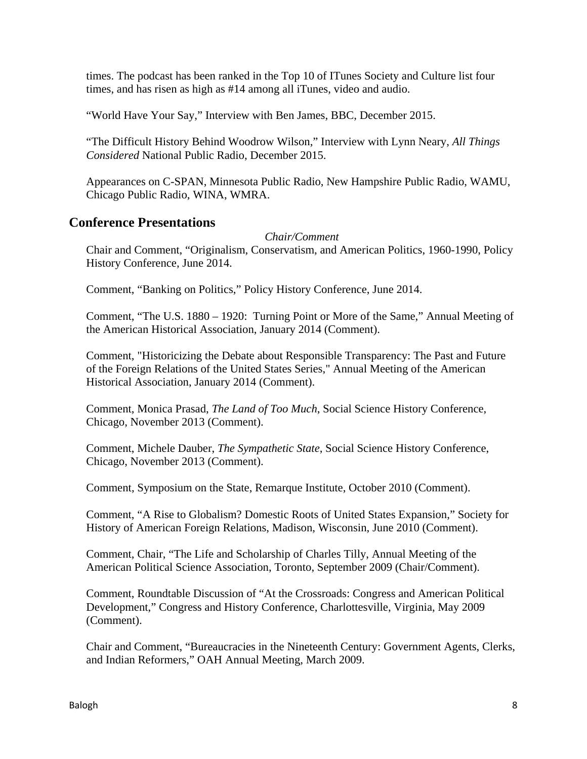times. The podcast has been ranked in the Top 10 of ITunes Society and Culture list four times, and has risen as high as #14 among all iTunes, video and audio.

"World Have Your Say," Interview with Ben James, BBC, December 2015.

"The Difficult History Behind Woodrow Wilson," Interview with Lynn Neary, *All Things Considered* National Public Radio, December 2015.

Appearances on C-SPAN, Minnesota Public Radio, New Hampshire Public Radio, WAMU, Chicago Public Radio, WINA, WMRA.

## **Conference Presentations**

### *Chair/Comment*

Chair and Comment, "Originalism, Conservatism, and American Politics, 1960-1990, Policy History Conference, June 2014.

Comment, "Banking on Politics," Policy History Conference, June 2014.

Comment, "The U.S. 1880 – 1920: Turning Point or More of the Same," Annual Meeting of the American Historical Association, January 2014 (Comment).

Comment, "Historicizing the Debate about Responsible Transparency: The Past and Future of the Foreign Relations of the United States Series," Annual Meeting of the American Historical Association, January 2014 (Comment).

Comment, Monica Prasad, *The Land of Too Much*, Social Science History Conference, Chicago, November 2013 (Comment).

Comment, Michele Dauber, *The Sympathetic State,* Social Science History Conference, Chicago, November 2013 (Comment).

Comment, Symposium on the State, Remarque Institute, October 2010 (Comment).

Comment, "A Rise to Globalism? Domestic Roots of United States Expansion," Society for History of American Foreign Relations, Madison, Wisconsin, June 2010 (Comment).

Comment, Chair, "The Life and Scholarship of Charles Tilly, Annual Meeting of the American Political Science Association, Toronto, September 2009 (Chair/Comment).

Comment, Roundtable Discussion of "At the Crossroads: Congress and American Political Development," Congress and History Conference, Charlottesville, Virginia, May 2009 (Comment).

Chair and Comment, "Bureaucracies in the Nineteenth Century: Government Agents, Clerks, and Indian Reformers," OAH Annual Meeting, March 2009.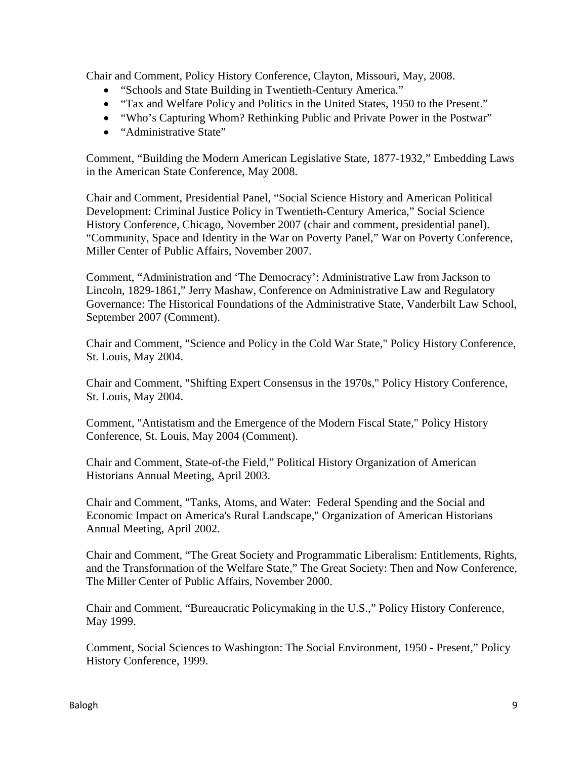Chair and Comment, Policy History Conference, Clayton, Missouri, May, 2008.

- "Schools and State Building in Twentieth-Century America."
- "Tax and Welfare Policy and Politics in the United States, 1950 to the Present."
- "Who's Capturing Whom? Rethinking Public and Private Power in the Postwar"
- "Administrative State"

Comment, "Building the Modern American Legislative State, 1877-1932," Embedding Laws in the American State Conference, May 2008.

Chair and Comment, Presidential Panel, "Social Science History and American Political Development: Criminal Justice Policy in Twentieth-Century America," Social Science History Conference, Chicago, November 2007 (chair and comment, presidential panel). "Community, Space and Identity in the War on Poverty Panel," War on Poverty Conference, Miller Center of Public Affairs, November 2007.

Comment, "Administration and 'The Democracy': Administrative Law from Jackson to Lincoln, 1829-1861," Jerry Mashaw, Conference on Administrative Law and Regulatory Governance: The Historical Foundations of the Administrative State, Vanderbilt Law School, September 2007 (Comment).

Chair and Comment, "Science and Policy in the Cold War State," Policy History Conference, St. Louis, May 2004.

Chair and Comment, "Shifting Expert Consensus in the 1970s," Policy History Conference, St. Louis, May 2004.

Comment, "Antistatism and the Emergence of the Modern Fiscal State," Policy History Conference, St. Louis, May 2004 (Comment).

Chair and Comment, State-of-the Field," Political History Organization of American Historians Annual Meeting, April 2003.

Chair and Comment, "Tanks, Atoms, and Water: Federal Spending and the Social and Economic Impact on America's Rural Landscape," Organization of American Historians Annual Meeting, April 2002.

Chair and Comment, "The Great Society and Programmatic Liberalism: Entitlements, Rights, and the Transformation of the Welfare State," The Great Society: Then and Now Conference, The Miller Center of Public Affairs, November 2000.

Chair and Comment, "Bureaucratic Policymaking in the U.S.," Policy History Conference, May 1999.

Comment, Social Sciences to Washington: The Social Environment, 1950 - Present," Policy History Conference, 1999.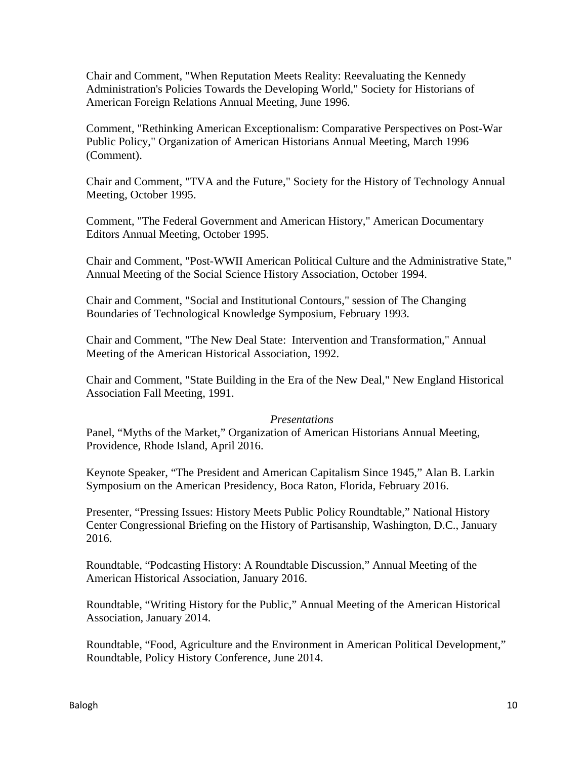Chair and Comment, "When Reputation Meets Reality: Reevaluating the Kennedy Administration's Policies Towards the Developing World," Society for Historians of American Foreign Relations Annual Meeting, June 1996.

Comment, "Rethinking American Exceptionalism: Comparative Perspectives on Post-War Public Policy," Organization of American Historians Annual Meeting, March 1996 (Comment).

Chair and Comment, "TVA and the Future," Society for the History of Technology Annual Meeting, October 1995.

Comment, "The Federal Government and American History," American Documentary Editors Annual Meeting, October 1995.

Chair and Comment, "Post-WWII American Political Culture and the Administrative State," Annual Meeting of the Social Science History Association, October 1994.

Chair and Comment, "Social and Institutional Contours," session of The Changing Boundaries of Technological Knowledge Symposium, February 1993.

Chair and Comment, "The New Deal State: Intervention and Transformation," Annual Meeting of the American Historical Association, 1992.

Chair and Comment, "State Building in the Era of the New Deal," New England Historical Association Fall Meeting, 1991.

### *Presentations*

Panel, "Myths of the Market," Organization of American Historians Annual Meeting, Providence, Rhode Island, April 2016.

Keynote Speaker, "The President and American Capitalism Since 1945," Alan B. Larkin Symposium on the American Presidency, Boca Raton, Florida, February 2016.

Presenter, "Pressing Issues: History Meets Public Policy Roundtable," National History Center Congressional Briefing on the History of Partisanship, Washington, D.C., January 2016.

Roundtable, "Podcasting History: A Roundtable Discussion," Annual Meeting of the American Historical Association, January 2016.

Roundtable, "Writing History for the Public," Annual Meeting of the American Historical Association, January 2014.

Roundtable, "Food, Agriculture and the Environment in American Political Development," Roundtable, Policy History Conference, June 2014.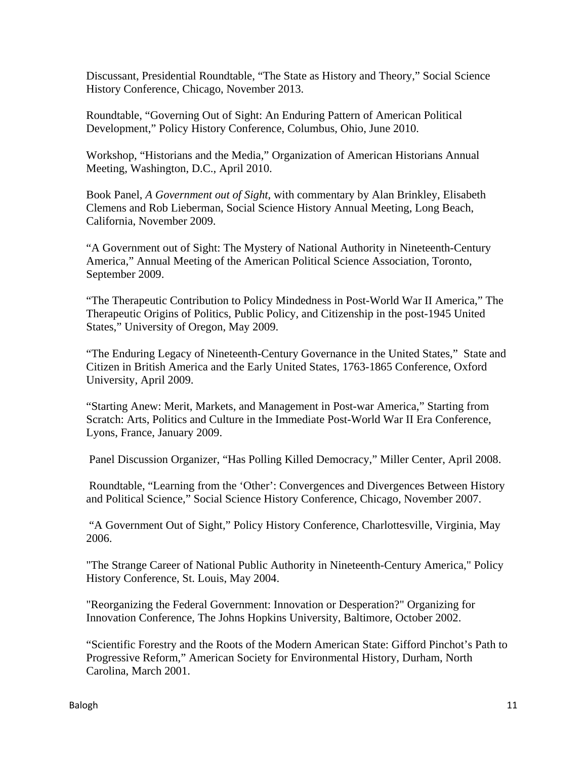Discussant, Presidential Roundtable, "The State as History and Theory," Social Science History Conference, Chicago, November 2013.

Roundtable, "Governing Out of Sight: An Enduring Pattern of American Political Development," Policy History Conference, Columbus, Ohio, June 2010.

Workshop, "Historians and the Media," Organization of American Historians Annual Meeting, Washington, D.C., April 2010.

Book Panel, *A Government out of Sight*, with commentary by Alan Brinkley, Elisabeth Clemens and Rob Lieberman, Social Science History Annual Meeting, Long Beach, California, November 2009.

"A Government out of Sight: The Mystery of National Authority in Nineteenth-Century America," Annual Meeting of the American Political Science Association, Toronto, September 2009.

"The Therapeutic Contribution to Policy Mindedness in Post-World War II America," The Therapeutic Origins of Politics, Public Policy, and Citizenship in the post-1945 United States," University of Oregon, May 2009.

"The Enduring Legacy of Nineteenth-Century Governance in the United States," State and Citizen in British America and the Early United States, 1763-1865 Conference, Oxford University, April 2009.

"Starting Anew: Merit, Markets, and Management in Post-war America," Starting from Scratch: Arts, Politics and Culture in the Immediate Post-World War II Era Conference, Lyons, France, January 2009.

Panel Discussion Organizer, "Has Polling Killed Democracy," Miller Center, April 2008.

Roundtable, "Learning from the 'Other': Convergences and Divergences Between History and Political Science," Social Science History Conference, Chicago, November 2007.

 "A Government Out of Sight," Policy History Conference, Charlottesville, Virginia, May 2006.

"The Strange Career of National Public Authority in Nineteenth-Century America," Policy History Conference, St. Louis, May 2004.

"Reorganizing the Federal Government: Innovation or Desperation?" Organizing for Innovation Conference, The Johns Hopkins University, Baltimore, October 2002.

"Scientific Forestry and the Roots of the Modern American State: Gifford Pinchot's Path to Progressive Reform," American Society for Environmental History, Durham, North Carolina, March 2001.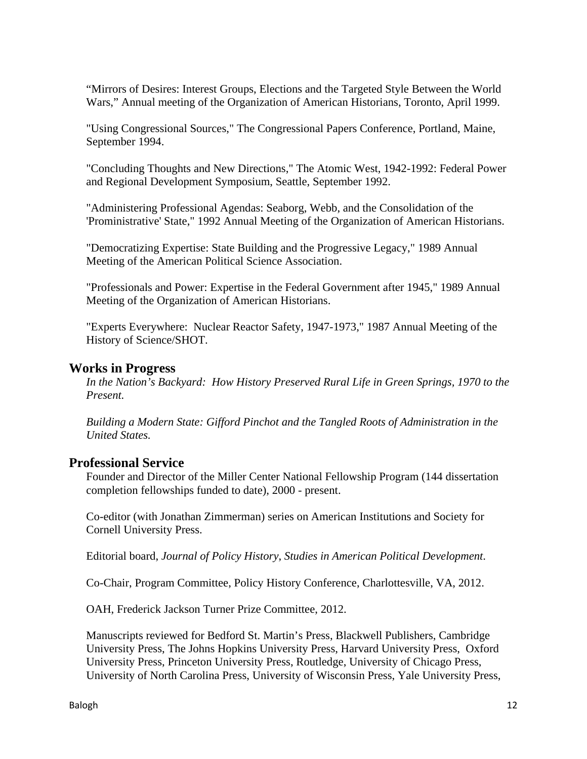"Mirrors of Desires: Interest Groups, Elections and the Targeted Style Between the World Wars," Annual meeting of the Organization of American Historians, Toronto, April 1999.

"Using Congressional Sources," The Congressional Papers Conference, Portland, Maine, September 1994.

"Concluding Thoughts and New Directions," The Atomic West, 1942-1992: Federal Power and Regional Development Symposium, Seattle, September 1992.

"Administering Professional Agendas: Seaborg, Webb, and the Consolidation of the 'Proministrative' State," 1992 Annual Meeting of the Organization of American Historians.

"Democratizing Expertise: State Building and the Progressive Legacy," 1989 Annual Meeting of the American Political Science Association.

"Professionals and Power: Expertise in the Federal Government after 1945," 1989 Annual Meeting of the Organization of American Historians.

"Experts Everywhere: Nuclear Reactor Safety, 1947-1973," 1987 Annual Meeting of the History of Science/SHOT.

# **Works in Progress**

*In the Nation's Backyard: How History Preserved Rural Life in Green Springs, 1970 to the Present.*

*Building a Modern State: Gifford Pinchot and the Tangled Roots of Administration in the United States.*

## **Professional Service**

Founder and Director of the Miller Center National Fellowship Program (144 dissertation completion fellowships funded to date), 2000 - present.

Co-editor (with Jonathan Zimmerman) series on American Institutions and Society for Cornell University Press.

Editorial board, *Journal of Policy History*, *Studies in American Political Development*.

Co-Chair, Program Committee, Policy History Conference, Charlottesville, VA, 2012.

OAH, Frederick Jackson Turner Prize Committee, 2012.

Manuscripts reviewed for Bedford St. Martin's Press, Blackwell Publishers, Cambridge University Press, The Johns Hopkins University Press, Harvard University Press, Oxford University Press, Princeton University Press, Routledge, University of Chicago Press, University of North Carolina Press, University of Wisconsin Press, Yale University Press,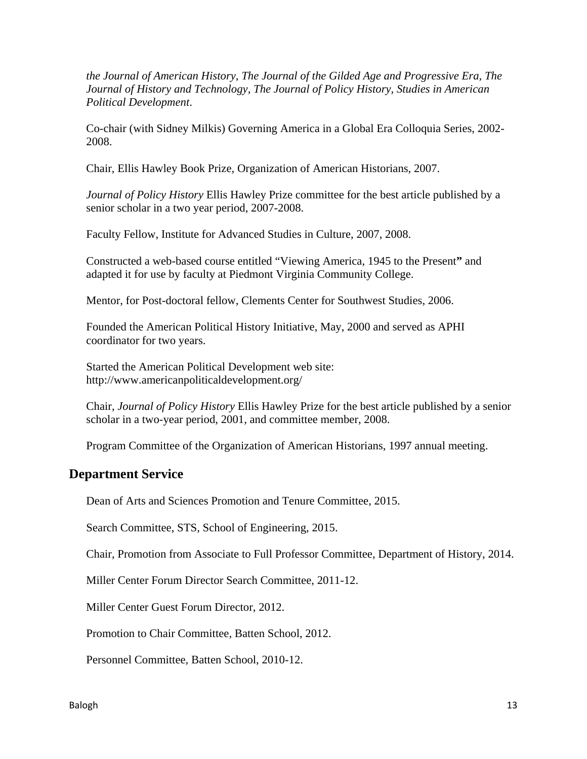*the Journal of American History*, *The Journal of the Gilded Age and Progressive Era, The Journal of History and Technology, The Journal of Policy History, Studies in American Political Development*.

Co-chair (with Sidney Milkis) Governing America in a Global Era Colloquia Series, 2002- 2008.

Chair, Ellis Hawley Book Prize, Organization of American Historians, 2007.

*Journal of Policy History* Ellis Hawley Prize committee for the best article published by a senior scholar in a two year period, 2007-2008.

Faculty Fellow, Institute for Advanced Studies in Culture, 2007, 2008.

Constructed a web-based course entitled "Viewing America, 1945 to the Present**"** and adapted it for use by faculty at Piedmont Virginia Community College.

Mentor, for Post-doctoral fellow, Clements Center for Southwest Studies, 2006.

Founded the American Political History Initiative, May, 2000 and served as APHI coordinator for two years.

Started the American Political Development web site: http://www.americanpoliticaldevelopment.org/

Chair, *Journal of Policy History* Ellis Hawley Prize for the best article published by a senior scholar in a two-year period, 2001, and committee member, 2008.

Program Committee of the Organization of American Historians, 1997 annual meeting.

# **Department Service**

Dean of Arts and Sciences Promotion and Tenure Committee, 2015.

Search Committee, STS, School of Engineering, 2015.

Chair, Promotion from Associate to Full Professor Committee, Department of History, 2014.

Miller Center Forum Director Search Committee, 2011-12.

Miller Center Guest Forum Director, 2012.

Promotion to Chair Committee, Batten School, 2012.

Personnel Committee, Batten School, 2010-12.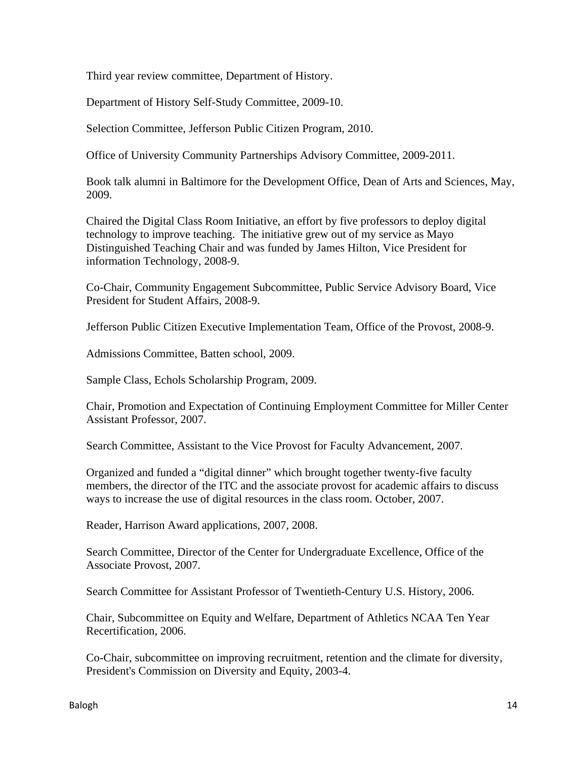Third year review committee, Department of History.

Department of History Self-Study Committee, 2009-10.

Selection Committee, Jefferson Public Citizen Program, 2010.

Office of University Community Partnerships Advisory Committee, 2009-2011.

Book talk alumni in Baltimore for the Development Office, Dean of Arts and Sciences, May, 2009.

Chaired the Digital Class Room Initiative, an effort by five professors to deploy digital technology to improve teaching. The initiative grew out of my service as Mayo Distinguished Teaching Chair and was funded by James Hilton, Vice President for information Technology, 2008-9.

Co-Chair, Community Engagement Subcommittee, Public Service Advisory Board, Vice President for Student Affairs, 2008-9.

Jefferson Public Citizen Executive Implementation Team, Office of the Provost, 2008-9.

Admissions Committee, Batten school, 2009.

Sample Class, Echols Scholarship Program, 2009.

Chair, Promotion and Expectation of Continuing Employment Committee for Miller Center Assistant Professor, 2007.

Search Committee, Assistant to the Vice Provost for Faculty Advancement, 2007.

Organized and funded a "digital dinner" which brought together twenty-five faculty members, the director of the ITC and the associate provost for academic affairs to discuss ways to increase the use of digital resources in the class room. October, 2007.

Reader, Harrison Award applications, 2007, 2008.

Search Committee, Director of the Center for Undergraduate Excellence, Office of the Associate Provost, 2007.

Search Committee for Assistant Professor of Twentieth-Century U.S. History, 2006.

Chair, Subcommittee on Equity and Welfare, Department of Athletics NCAA Ten Year Recertification, 2006.

Co-Chair, subcommittee on improving recruitment, retention and the climate for diversity, President's Commission on Diversity and Equity, 2003-4.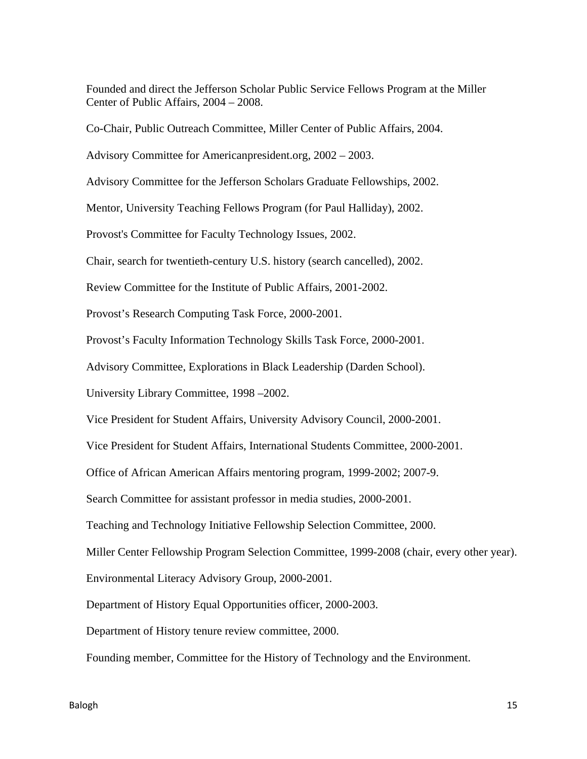Founded and direct the Jefferson Scholar Public Service Fellows Program at the Miller Center of Public Affairs, 2004 – 2008.

Co-Chair, Public Outreach Committee, Miller Center of Public Affairs, 2004.

Advisory Committee for Americanpresident.org, 2002 – 2003.

Advisory Committee for the Jefferson Scholars Graduate Fellowships, 2002.

Mentor, University Teaching Fellows Program (for Paul Halliday), 2002.

Provost's Committee for Faculty Technology Issues, 2002.

Chair, search for twentieth-century U.S. history (search cancelled), 2002.

Review Committee for the Institute of Public Affairs, 2001-2002.

Provost's Research Computing Task Force, 2000-2001.

Provost's Faculty Information Technology Skills Task Force, 2000-2001.

Advisory Committee, Explorations in Black Leadership (Darden School).

University Library Committee, 1998 –2002.

Vice President for Student Affairs, University Advisory Council, 2000-2001.

Vice President for Student Affairs, International Students Committee, 2000-2001.

Office of African American Affairs mentoring program, 1999-2002; 2007-9.

Search Committee for assistant professor in media studies, 2000-2001.

Teaching and Technology Initiative Fellowship Selection Committee, 2000.

Miller Center Fellowship Program Selection Committee, 1999-2008 (chair, every other year).

Environmental Literacy Advisory Group, 2000-2001.

Department of History Equal Opportunities officer, 2000-2003.

Department of History tenure review committee, 2000.

Founding member, Committee for the History of Technology and the Environment.